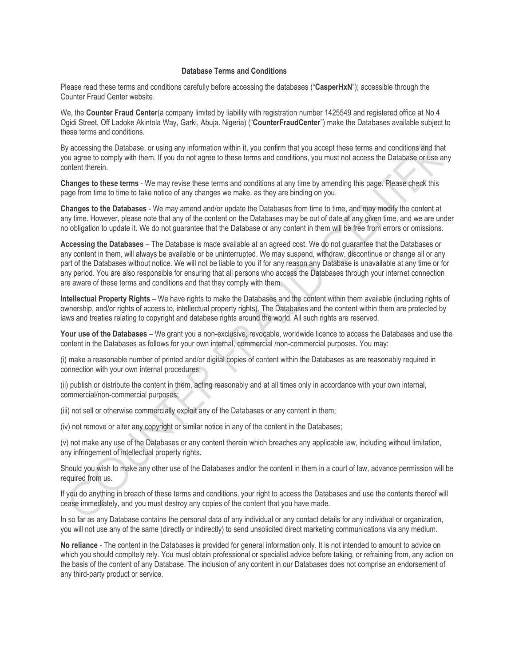## **Database Terms and Conditions**

Please read these terms and conditions carefully before accessing the databases ("**CasperHxN**"); accessible through the Counter Fraud Center website.

We, the **Counter Fraud Center**(a company limited by liability with registration number 1425549 and registered office at No 4 Ogidi Street, Off Ladoke Akintola Way, Garki, Abuja. Nigeria) ("**CounterFraudCenter**") make the Databases available subject to these terms and conditions.

By accessing the Database, or using any information within it, you confirm that you accept these terms and conditions and that you agree to comply with them. If you do not agree to these terms and conditions, you must not access the Database or use any content therein.

**Changes to these terms** - We may revise these terms and conditions at any time by amending this page. Please check this page from time to time to take notice of any changes we make, as they are binding on you.

**Changes to the Databases** - We may amend and/or update the Databases from time to time, and may modify the content at any time. However, please note that any of the content on the Databases may be out of date at any given time, and we are under no obligation to update it. We do not guarantee that the Database or any content in them will be free from errors or omissions.

**Accessing the Databases** – The Database is made available at an agreed cost. We do not guarantee that the Databases or any content in them, will always be available or be uninterrupted. We may suspend, withdraw, discontinue or change all or any part of the Databases without notice. We will not be liable to you if for any reason any Database is unavailable at any time or for any period. You are also responsible for ensuring that all persons who access the Databases through your internet connection are aware of these terms and conditions and that they comply with them.

**Intellectual Property Rights** – We have rights to make the Databases and the content within them available (including rights of ownership, and/or rights of access to, intellectual property rights). The Databases and the content within them are protected by laws and treaties relating to copyright and database rights around the world. All such rights are reserved.

**Your use of the Databases** – We grant you a non-exclusive, revocable, worldwide licence to access the Databases and use the content in the Databases as follows for your own internal, commercial /non-commercial purposes. You may:

(i) make a reasonable number of printed and/or digital copies of content within the Databases as are reasonably required in connection with your own internal procedures;

(ii) publish or distribute the content in them, acting reasonably and at all times only in accordance with your own internal, commercial/non-commercial purposes;

(iii) not sell or otherwise commercially exploit any of the Databases or any content in them;

(iv) not remove or alter any copyright or similar notice in any of the content in the Databases;

(v) not make any use of the Databases or any content therein which breaches any applicable law, including without limitation, any infringement of intellectual property rights.

Should you wish to make any other use of the Databases and/or the content in them in a court of law, advance permission will be required from us.

If you do anything in breach of these terms and conditions, your right to access the Databases and use the contents thereof will cease immediately, and you must destroy any copies of the content that you have made.

In so far as any Database contains the personal data of any individual or any contact details for any individual or organization, you will not use any of the same (directly or indirectly) to send unsolicited direct marketing communications via any medium.

**No reliance** - The content in the Databases is provided for general information only. It is not intended to amount to advice on which you should compltely rely. You must obtain professional or specialist advice before taking, or refraining from, any action on the basis of the content of any Database. The inclusion of any content in our Databases does not comprise an endorsement of any third-party product or service.